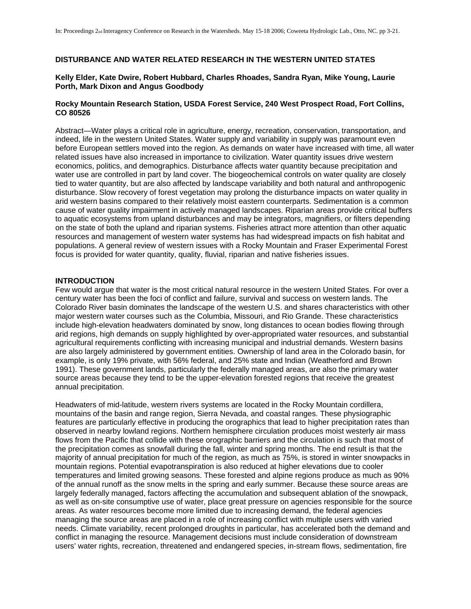# **DISTURBANCE AND WATER RELATED RESEARCH IN THE WESTERN UNITED STATES**

### **Kelly Elder, Kate Dwire, Robert Hubbard, Charles Rhoades, Sandra Ryan, Mike Young, Laurie Porth, Mark Dixon and Angus Goodbody**

### **Rocky Mountain Research Station, USDA Forest Service, 240 West Prospect Road, Fort Collins, CO 80526**

Abstract—Water plays a critical role in agriculture, energy, recreation, conservation, transportation, and indeed, life in the western United States. Water supply and variability in supply was paramount even before European settlers moved into the region. As demands on water have increased with time, all water related issues have also increased in importance to civilization. Water quantity issues drive western economics, politics, and demographics. Disturbance affects water quantity because precipitation and water use are controlled in part by land cover. The biogeochemical controls on water quality are closely tied to water quantity, but are also affected by landscape variability and both natural and anthropogenic disturbance. Slow recovery of forest vegetation may prolong the disturbance impacts on water quality in arid western basins compared to their relatively moist eastern counterparts. Sedimentation is a common cause of water quality impairment in actively managed landscapes. Riparian areas provide critical buffers to aquatic ecosystems from upland disturbances and may be integrators, magnifiers, or filters depending on the state of both the upland and riparian systems. Fisheries attract more attention than other aquatic resources and management of western water systems has had widespread impacts on fish habitat and populations. A general review of western issues with a Rocky Mountain and Fraser Experimental Forest focus is provided for water quantity, quality, fluvial, riparian and native fisheries issues.

### **INTRODUCTION**

Few would argue that water is the most critical natural resource in the western United States. For over a century water has been the foci of conflict and failure, survival and success on western lands. The Colorado River basin dominates the landscape of the western U.S. and shares characteristics with other major western water courses such as the Columbia, Missouri, and Rio Grande. These characteristics include high-elevation headwaters dominated by snow, long distances to ocean bodies flowing through arid regions, high demands on supply highlighted by over-appropriated water resources, and substantial agricultural requirements conflicting with increasing municipal and industrial demands. Western basins are also largely administered by government entities. Ownership of land area in the Colorado basin, for example, is only 19% private, with 56% federal, and 25% state and Indian (Weatherford and Brown 1991). These government lands, particularly the federally managed areas, are also the primary water source areas because they tend to be the upper-elevation forested regions that receive the greatest annual precipitation.

Headwaters of mid-latitude, western rivers systems are located in the Rocky Mountain cordillera, mountains of the basin and range region, Sierra Nevada, and coastal ranges. These physiographic features are particularly effective in producing the orographics that lead to higher precipitation rates than observed in nearby lowland regions. Northern hemisphere circulation produces moist westerly air mass flows from the Pacific that collide with these orographic barriers and the circulation is such that most of the precipitation comes as snowfall during the fall, winter and spring months. The end result is that the majority of annual precipitation for much of the region, as much as 75%, is stored in winter snowpacks in mountain regions. Potential evapotranspiration is also reduced at higher elevations due to cooler temperatures and limited growing seasons. These forested and alpine regions produce as much as 90% of the annual runoff as the snow melts in the spring and early summer. Because these source areas are largely federally managed, factors affecting the accumulation and subsequent ablation of the snowpack, as well as on-site consumptive use of water, place great pressure on agencies responsible for the source areas. As water resources become more limited due to increasing demand, the federal agencies managing the source areas are placed in a role of increasing conflict with multiple users with varied needs. Climate variability, recent prolonged droughts in particular, has accelerated both the demand and conflict in managing the resource. Management decisions must include consideration of downstream users' water rights, recreation, threatened and endangered species, in-stream flows, sedimentation, fire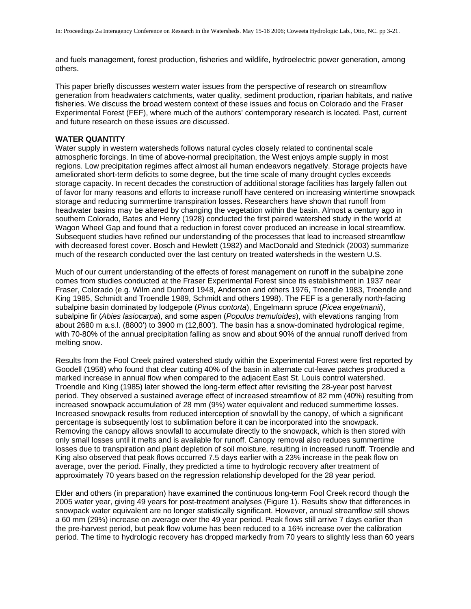and fuels management, forest production, fisheries and wildlife, hydroelectric power generation, among others.

This paper briefly discusses western water issues from the perspective of research on streamflow generation from headwaters catchments, water quality, sediment production, riparian habitats, and native fisheries. We discuss the broad western context of these issues and focus on Colorado and the Fraser Experimental Forest (FEF), where much of the authors' contemporary research is located. Past, current and future research on these issues are discussed.

# **WATER QUANTITY**

Water supply in western watersheds follows natural cycles closely related to continental scale atmospheric forcings. In time of above-normal precipitation, the West enjoys ample supply in most regions. Low precipitation regimes affect almost all human endeavors negatively. Storage projects have ameliorated short-term deficits to some degree, but the time scale of many drought cycles exceeds storage capacity. In recent decades the construction of additional storage facilities has largely fallen out of favor for many reasons and efforts to increase runoff have centered on increasing wintertime snowpack storage and reducing summertime transpiration losses. Researchers have shown that runoff from headwater basins may be altered by changing the vegetation within the basin. Almost a century ago in southern Colorado, Bates and Henry (1928) conducted the first paired watershed study in the world at Wagon Wheel Gap and found that a reduction in forest cover produced an increase in local streamflow. Subsequent studies have refined our understanding of the processes that lead to increased streamflow with decreased forest cover. Bosch and Hewlett (1982) and MacDonald and Stednick (2003) summarize much of the research conducted over the last century on treated watersheds in the western U.S.

Much of our current understanding of the effects of forest management on runoff in the subalpine zone comes from studies conducted at the Fraser Experimental Forest since its establishment in 1937 near Fraser, Colorado (e.g. Wilm and Dunford 1948, Anderson and others 1976, Troendle 1983, Troendle and King 1985, Schmidt and Troendle 1989, Schmidt and others 1998). The FEF is a generally north-facing subalpine basin dominated by lodgepole (*Pinus contorta*), Engelmann spruce (*Picea engelmanii*), subalpine fir (*Abies lasiocarpa*), and some aspen (*Populus tremuloides*), with elevations ranging from about 2680 m a.s.l. (8800') to 3900 m (12,800'). The basin has a snow-dominated hydrological regime, with 70-80% of the annual precipitation falling as snow and about 90% of the annual runoff derived from melting snow.

Results from the Fool Creek paired watershed study within the Experimental Forest were first reported by Goodell (1958) who found that clear cutting 40% of the basin in alternate cut-leave patches produced a marked increase in annual flow when compared to the adjacent East St. Louis control watershed. Troendle and King (1985) later showed the long-term effect after revisiting the 28-year post harvest period. They observed a sustained average effect of increased streamflow of 82 mm (40%) resulting from increased snowpack accumulation of 28 mm (9%) water equivalent and reduced summertime losses. Increased snowpack results from reduced interception of snowfall by the canopy, of which a significant percentage is subsequently lost to sublimation before it can be incorporated into the snowpack. Removing the canopy allows snowfall to accumulate directly to the snowpack, which is then stored with only small losses until it melts and is available for runoff. Canopy removal also reduces summertime losses due to transpiration and plant depletion of soil moisture, resulting in increased runoff. Troendle and King also observed that peak flows occurred 7.5 days earlier with a 23% increase in the peak flow on average, over the period. Finally, they predicted a time to hydrologic recovery after treatment of approximately 70 years based on the regression relationship developed for the 28 year period.

Elder and others (in preparation) have examined the continuous long-term Fool Creek record though the 2005 water year, giving 49 years for post-treatment analyses (Figure 1). Results show that differences in snowpack water equivalent are no longer statistically significant. However, annual streamflow still shows a 60 mm (29%) increase on average over the 49 year period. Peak flows still arrive 7 days earlier than the pre-harvest period, but peak flow volume has been reduced to a 16% increase over the calibration period. The time to hydrologic recovery has dropped markedly from 70 years to slightly less than 60 years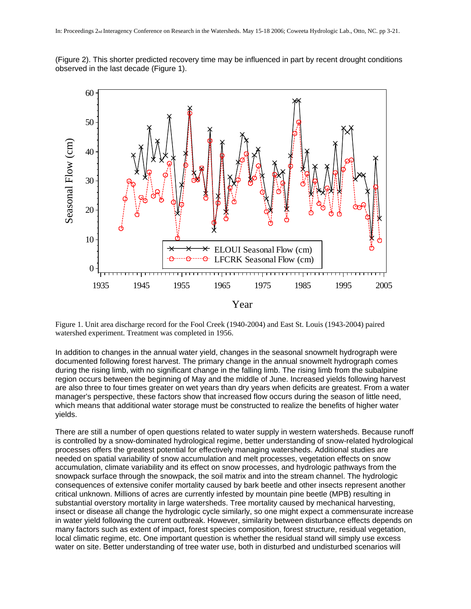(Figure 2). This shorter predicted recovery time may be influenced in part by recent drought conditions observed in the last decade (Figure 1).



Figure 1. Unit area discharge record for the Fool Creek (1940-2004) and East St. Louis (1943-2004) paired watershed experiment. Treatment was completed in 1956.

In addition to changes in the annual water yield, changes in the seasonal snowmelt hydrograph were documented following forest harvest. The primary change in the annual snowmelt hydrograph comes during the rising limb, with no significant change in the falling limb. The rising limb from the subalpine region occurs between the beginning of May and the middle of June. Increased yields following harvest are also three to four times greater on wet years than dry years when deficits are greatest. From a water manager's perspective, these factors show that increased flow occurs during the season of little need, which means that additional water storage must be constructed to realize the benefits of higher water yields.

There are still a number of open questions related to water supply in western watersheds. Because runoff is controlled by a snow-dominated hydrological regime, better understanding of snow-related hydrological processes offers the greatest potential for effectively managing watersheds. Additional studies are needed on spatial variability of snow accumulation and melt processes, vegetation effects on snow accumulation, climate variability and its effect on snow processes, and hydrologic pathways from the snowpack surface through the snowpack, the soil matrix and into the stream channel. The hydrologic consequences of extensive conifer mortality caused by bark beetle and other insects represent another critical unknown. Millions of acres are currently infested by mountain pine beetle (MPB) resulting in substantial overstory mortality in large watersheds. Tree mortality caused by mechanical harvesting, insect or disease all change the hydrologic cycle similarly, so one might expect a commensurate increase in water yield following the current outbreak. However, similarity between disturbance effects depends on many factors such as extent of impact, forest species composition, forest structure, residual vegetation, local climatic regime, etc. One important question is whether the residual stand will simply use excess water on site. Better understanding of tree water use, both in disturbed and undisturbed scenarios will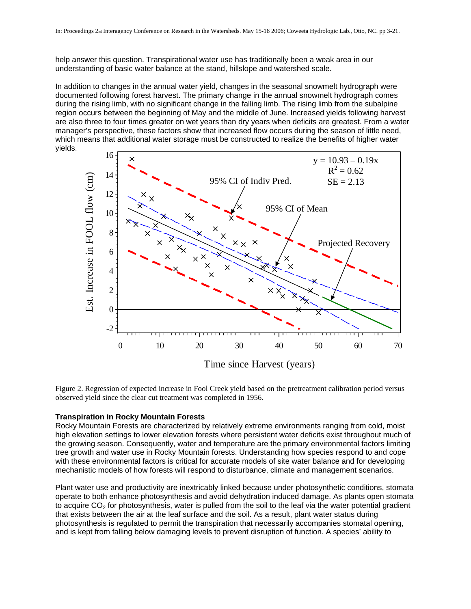help answer this question. Transpirational water use has traditionally been a weak area in our understanding of basic water balance at the stand, hillslope and watershed scale.

In addition to changes in the annual water yield, changes in the seasonal snowmelt hydrograph were documented following forest harvest. The primary change in the annual snowmelt hydrograph comes during the rising limb, with no significant change in the falling limb. The rising limb from the subalpine region occurs between the beginning of May and the middle of June. Increased yields following harvest are also three to four times greater on wet years than dry years when deficits are greatest. From a water manager's perspective, these factors show that increased flow occurs during the season of little need, which means that additional water storage must be constructed to realize the benefits of higher water yields.



Time since Harvest (years)

Figure 2. Regression of expected increase in Fool Creek yield based on the pretreatment calibration period versus observed yield since the clear cut treatment was completed in 1956.

#### **Transpiration in Rocky Mountain Forests**

Rocky Mountain Forests are characterized by relatively extreme environments ranging from cold, moist high elevation settings to lower elevation forests where persistent water deficits exist throughout much of the growing season. Consequently, water and temperature are the primary environmental factors limiting tree growth and water use in Rocky Mountain forests. Understanding how species respond to and cope with these environmental factors is critical for accurate models of site water balance and for developing mechanistic models of how forests will respond to disturbance, climate and management scenarios.

Plant water use and productivity are inextricably linked because under photosynthetic conditions, stomata operate to both enhance photosynthesis and avoid dehydration induced damage. As plants open stomata to acquire  $CO<sub>2</sub>$  for photosynthesis, water is pulled from the soil to the leaf via the water potential gradient that exists between the air at the leaf surface and the soil. As a result, plant water status during photosynthesis is regulated to permit the transpiration that necessarily accompanies stomatal opening, and is kept from falling below damaging levels to prevent disruption of function. A species' ability to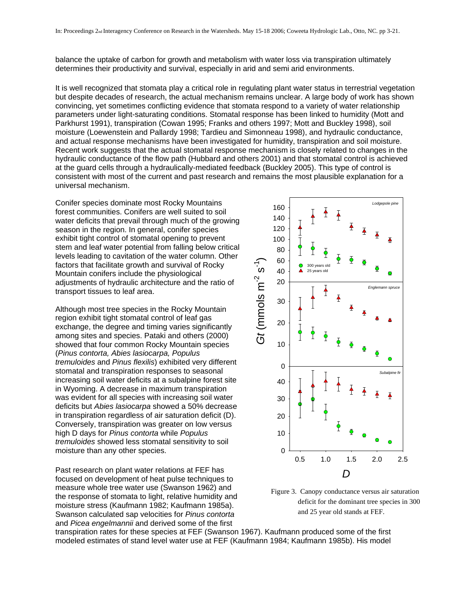balance the uptake of carbon for growth and metabolism with water loss via transpiration ultimately determines their productivity and survival, especially in arid and semi arid environments.

It is well recognized that stomata play a critical role in regulating plant water status in terrestrial vegetation but despite decades of research, the actual mechanism remains unclear. A large body of work has shown convincing, yet sometimes conflicting evidence that stomata respond to a variety of water relationship parameters under light-saturating conditions. Stomatal response has been linked to humidity (Mott and Parkhurst 1991), transpiration (Cowan 1995; Franks and others 1997; Mott and Buckley 1998), soil moisture (Loewenstein and Pallardy 1998; Tardieu and Simonneau 1998), and hydraulic conductance, and actual response mechanisms have been investigated for humidity, transpiration and soil moisture. Recent work suggests that the actual stomatal response mechanism is closely related to changes in the hydraulic conductance of the flow path (Hubbard and others 2001) and that stomatal control is achieved at the guard cells through a hydraulically-mediated feedback (Buckley 2005). This type of control is consistent with most of the current and past research and remains the most plausible explanation for a universal mechanism.

Conifer species dominate most Rocky Mountains forest communities. Conifers are well suited to soil water deficits that prevail through much of the growing season in the region. In general, conifer species exhibit tight control of stomatal opening to prevent stem and leaf water potential from falling below critical levels leading to cavitation of the water column. Other factors that facilitate growth and survival of Rocky Mountain conifers include the physiological adjustments of hydraulic architecture and the ratio of transport tissues to leaf area.

Although most tree species in the Rocky Mountain region exhibit tight stomatal control of leaf gas exchange, the degree and timing varies significantly among sites and species. Pataki and others (2000) showed that four common Rocky Mountain species (*Pinus contorta, Abies lasiocarpa, Populus tremuloides* and *Pinus flexilis*) exhibited very different stomatal and transpiration responses to seasonal increasing soil water deficits at a subalpine forest site in Wyoming. A decrease in maximum transpiration was evident for all species with increasing soil water deficits but *Abies lasiocarpa* showed a 50% decrease in transpiration regardless of air saturation deficit (D). Conversely, transpiration was greater on low versus high D days for *Pinus contorta* while *Populus tremuloides* showed less stomatal sensitivity to soil moisture than any other species.

Past research on plant water relations at FEF has focused on development of heat pulse techniques to measure whole tree water use (Swanson 1962) and the response of stomata to light, relative humidity and moisture stress (Kaufmann 1982; Kaufmann 1985a). Swanson calculated sap velocities for *Pinus contorta* and *Picea engelmannii* and derived some of the first



Figure 3. Canopy conductance versus air saturation deficit for the dominant tree species in 300 and 25 year old stands at FEF.

transpiration rates for these species at FEF (Swanson 1967). Kaufmann produced some of the first modeled estimates of stand level water use at FEF (Kaufmann 1984; Kaufmann 1985b). His model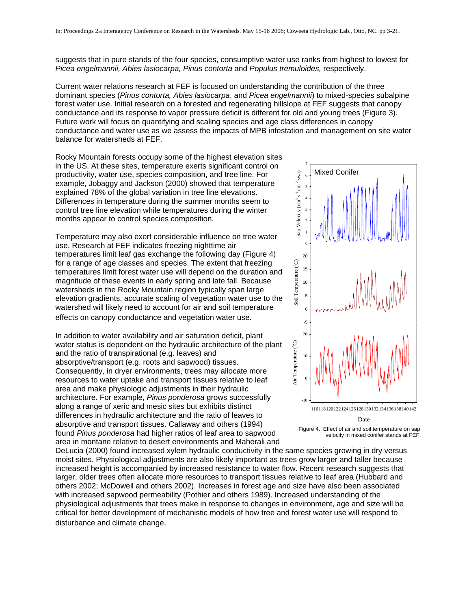suggests that in pure stands of the four species, consumptive water use ranks from highest to lowest for *Picea engelmannii, Abies lasiocarpa, Pinus contorta* and *Populus tremuloides,* respectively.

Current water relations research at FEF is focused on understanding the contribution of the three dominant species (*Pinus contorta, Abies lasiocarpa*, and *Picea engelmannii*) to mixed-species subalpine forest water use. Initial research on a forested and regenerating hillslope at FEF suggests that canopy conductance and its response to vapor pressure deficit is different for old and young trees (Figure 3). Future work will focus on quantifying and scaling species and age class differences in canopy conductance and water use as we assess the impacts of MPB infestation and management on site water balance for watersheds at FEF.

Rocky Mountain forests occupy some of the highest elevation sites in the US. At these sites, temperature exerts significant control on productivity, water use, species composition, and tree line. For example, Jobaggy and Jackson (2000) showed that temperature explained 78% of the global variation in tree line elevations. Differences in temperature during the summer months seem to control tree line elevation while temperatures during the winter months appear to control species composition.

Temperature may also exert considerable influence on tree water use. Research at FEF indicates freezing nighttime air temperatures limit leaf gas exchange the following day (Figure 4) for a range of age classes and species. The extent that freezing temperatures limit forest water use will depend on the duration and magnitude of these events in early spring and late fall. Because watersheds in the Rocky Mountain region typically span large elevation gradients, accurate scaling of vegetation water use to the watershed will likely need to account for air and soil temperature effects on canopy conductance and vegetation water use.

In addition to water availability and air saturation deficit, plant water status is dependent on the hydraulic architecture of the plant and the ratio of transpirational (e.g. leaves) and absorptive/transport (e.g. roots and sapwood) tissues. Consequently, in dryer environments, trees may allocate more resources to water uptake and transport tissues relative to leaf area and make physiologic adjustments in their hydraulic architecture. For example, *Pinus ponderosa* grows successfully along a range of xeric and mesic sites but exhibits distinct differences in hydraulic architecture and the ratio of leaves to absorptive and transport tissues. Callaway and others (1994) found *Pinus ponderosa* had higher ratios of leaf area to sapwood area in montane relative to desert environments and Maherali and





DeLucia (2000) found increased xylem hydraulic conductivity in the same species growing in dry versus moist sites. Physiological adjustments are also likely important as trees grow larger and taller because increased height is accompanied by increased resistance to water flow. Recent research suggests that larger, older trees often allocate more resources to transport tissues relative to leaf area (Hubbard and others 2002; McDowell and others 2002). Increases in forest age and size have also been associated with increased sapwood permeability (Pothier and others 1989). Increased understanding of the physiological adjustments that trees make in response to changes in environment, age and size will be critical for better development of mechanistic models of how tree and forest water use will respond to disturbance and climate change.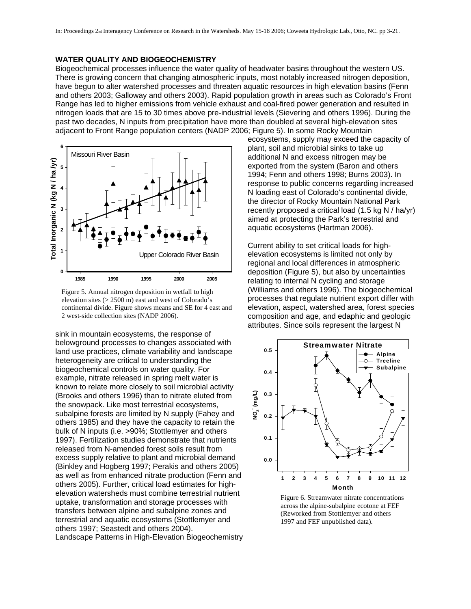# **WATER QUALITY AND BIOGEOCHEMISTRY**

Biogeochemical processes influence the water quality of headwater basins throughout the western US. There is growing concern that changing atmospheric inputs, most notably increased nitrogen deposition, have begun to alter watershed processes and threaten aquatic resources in high elevation basins (Fenn and others 2003; Galloway and others 2003). Rapid population growth in areas such as Colorado's Front Range has led to higher emissions from vehicle exhaust and coal-fired power generation and resulted in nitrogen loads that are 15 to 30 times above pre-industrial levels (Sievering and others 1996). During the past two decades, N inputs from precipitation have more than doubled at several high-elevation sites adjacent to Front Range population centers (NADP 2006; Figure 5). In some Rocky Mountain



Figure 5. Annual nitrogen deposition in wetfall to high elevation sites (> 2500 m) east and west of Colorado's continental divide. Figure shows means and SE for 4 east and 2 west-side collection sites (NADP 2006).

sink in mountain ecosystems, the response of belowground processes to changes associa ted with land use practices, climate variability and lands cape heterogeneity are critical to understanding the biogeochemical controls on water quality. For example, nitrate released in spring melt water is known to relate more closely to soil microbial activity (Brooks and others 1996) than to nitrate eluted fro m the snowpack. Like most terrestrial ecosystems, subalpine forests are limited by N supply (Fahey and others 1985) and they have the capacity to retain th e bulk of N inputs (i.e. >90%; Stottlemyer and others 1997). Fertilization studies demonstrate that nutrients released from N-amended forest soils result from excess supply relative to plant and microbial demand (Binkley and Hogberg 1997; Perakis and others 2005) as well as from enhanced nitrate production (Fenn an d others 2005). Further, critical load estimates for highelevation watersheds must combine terrestrial nutrie nt uptake, transformation and storage processes with transfers between alpine and subalpine zones and terrestrial and aquatic ecosystems (Stottlemyer an d others 1997; Seastedt and others 2004). Landscape Patterns in High-Elevation Biogeochemistry

ecosystems, supply may exceed the capacity of plant, soil and microbial sinks to take up additional N and excess nitrogen may be exported from the system (Baron and others 1994; Fenn and others 1998; Burns 2003). In response to public concerns regarding increased N loading east of Colorado's continental divide, the director of Rocky Mountain National Park recently proposed a critical load (1.5 kg N / ha/yr) aimed at protecting the Park's terrestrial and aquatic ecosystems (Hartman 2006).

Current ability to set critical loads for highelevation ecosystems is limited not only by regional and local differences in atmospheric deposition (Figure 5), but also by uncertainties relating to internal N cycling and storage (Williams and others 1996). The biogeochemical processes that regulate nutrient export differ with elevation, aspect, watershed area, forest species composition and age, and edaphic and geologic attributes. Since soils represent the largest N



Figure 6. Streamwater nitrate concentrations across the alpine-subalpine ecotone at FEF (Reworked from Stottlemyer and others 1997 and FEF unpublished data).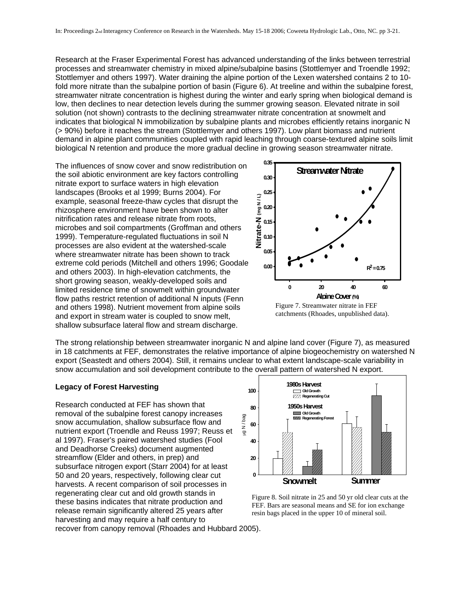Research at the Fraser Experimental Forest has advanced understanding of the links between terrestrial processes and streamwater chemistry in mixed alpine/subalpine basins (Stottlemyer and Troendle 1992; Stottlemyer and others 1997). Water draining the alpine portion of the Lexen watershed contains 2 to 10 fold more nitrate than the subalpine portion of basin (Figure 6). At treeline and within the subalpine forest, streamwater nitrate concentration is highest during the winter and early spring when biological demand is low, then declines to near detection levels during the summer growing season. Elevated nitrate in soil solution (not shown) contrasts to the declining streamwater nitrate concentration at snowmelt and indicates that biological N immobilization by subalpine plants and microbes efficiently retains inorganic N (> 90%) before it reaches the stream (Stottlemyer and others 1997). Low plant biomass and nutrient demand in alpine plant communities coupled with rapid leaching through coarse-textured alpine soils limit biological N retention and produce the more gradual decline in growing season streamwater nitrate.

The influences of snow cover and snow redistribution on the soil abiotic environment are key factors controlling nitrate export to surface waters in high elevation landscapes (Brooks et al 1999; Burns 2004). For example, seasonal freeze-thaw cycles that disrupt the rhizosphere environment have been shown to alter nitrification rates and release nitrate from roots, microbes and soil compartments (Groffman and others 1999). Temperature-regulated fluctuations in soil N processes are also evident at the watershed-scale where streamwater nitrate has been shown to track extreme cold periods (Mitchell and others 1996; Goodale and others 2003). In high-elevation catchments, the short growing season, weakly-developed soils and limited residence time of snowmelt within groundwater flow paths restrict retention of additional N inputs (Fenn and others 1998). Nutrient movement from alpine soils and export in stream water is coupled to snow melt, shallow subsurface lateral flow and stream discharge.



Figure 7. Streamwater nitrate in FEF catchments (Rhoades, unpublished data).

The strong relationship between streamwater inorganic N and alpine land cover (Figure 7), as measured in 18 catchments at FEF, demonstrates the relative importance of alpine biogeochemistry on watershed N export (Seastedt and others 2004). Still, it remains unclear to what extent landscape-scale variability in snow accumulation and soil development contribute to the overall pattern of watershed N export.

# **Legacy of Forest Harvesting**

Research conducted at FEF has shown that removal of the subalpine forest canopy increases snow accumulation, shallow subsurface flow and nutrient export (Troendle and Reuss 1997; Reuss et al 1997). Fraser's paired watershed studies (Fool and Deadhorse Creeks) document augmented streamflow (Elder and others, in prep) and subsurface nitrogen export (Starr 2004) for at least 50 and 20 years, respectively, following clear cut harvests. A recent comparison of soil processes in regenerating clear cut and old growth stands in these basins indicates that nitrate production and release remain significantly altered 25 years after harvesting and may require a half century to



Figure 8. Soil nitrate in 25 and 50 yr old clear cuts at the FEF. Bars are seasonal means and SE for ion exchange resin bags placed in the upper 10 of mineral soil.

recover from canopy removal (Rhoades and Hubbard 2005).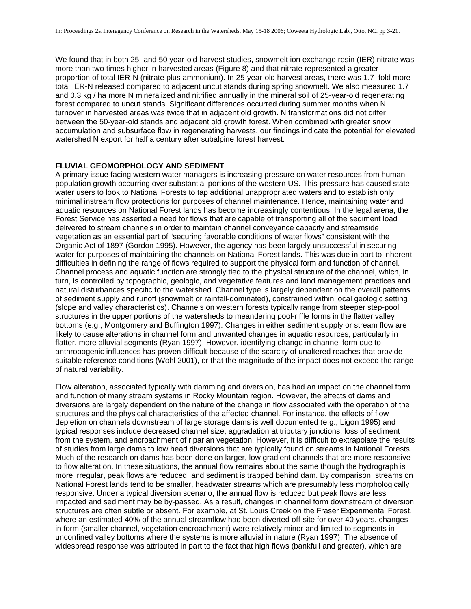We found that in both 25- and 50 year-old harvest studies, snowmelt ion exchange resin (IER) nitrate was more than two times higher in harvested areas (Figure 8) and that nitrate represented a greater proportion of total IER-N (nitrate plus ammonium). In 25-year-old harvest areas, there was 1.7–fold more total IER-N released compared to adjacent uncut stands during spring snowmelt. We also measured 1.7 and 0.3 kg / ha more N mineralized and nitrified annually in the mineral soil of 25-year-old regenerating forest compared to uncut stands. Significant differences occurred during summer months when N turnover in harvested areas was twice that in adjacent old growth. N transformations did not differ between the 50-year-old stands and adjacent old growth forest. When combined with greater snow accumulation and subsurface flow in regenerating harvests, our findings indicate the potential for elevated watershed N export for half a century after subalpine forest harvest.

# **FLUVIAL GEOMORPHOLOGY AND SEDIMENT**

A primary issue facing western water managers is increasing pressure on water resources from human population growth occurring over substantial portions of the western US. This pressure has caused state water users to look to National Forests to tap additional unappropriated waters and to establish only minimal instream flow protections for purposes of channel maintenance. Hence, maintaining water and aquatic resources on National Forest lands has become increasingly contentious. In the legal arena, the Forest Service has asserted a need for flows that are capable of transporting all of the sediment load delivered to stream channels in order to maintain channel conveyance capacity and streamside vegetation as an essential part of "securing favorable conditions of water flows" consistent with the Organic Act of 1897 (Gordon 1995). However, the agency has been largely unsuccessful in securing water for purposes of maintaining the channels on National Forest lands. This was due in part to inherent difficulties in defining the range of flows required to support the physical form and function of channel. Channel process and aquatic function are strongly tied to the physical structure of the channel, which, in turn, is controlled by topographic, geologic, and vegetative features and land management practices and natural disturbances specific to the watershed. Channel type is largely dependent on the overall patterns of sediment supply and runoff (snowmelt or rainfall-dominated), constrained within local geologic setting (slope and valley characteristics). Channels on western forests typically range from steeper step-pool structures in the upper portions of the watersheds to meandering pool-riffle forms in the flatter valley bottoms (e.g., Montgomery and Buffington 1997). Changes in either sediment supply or stream flow are likely to cause alterations in channel form and unwanted changes in aquatic resources, particularly in flatter, more alluvial segments (Ryan 1997). However, identifying change in channel form due to anthropogenic influences has proven difficult because of the scarcity of unaltered reaches that provide suitable reference conditions (Wohl 2001), or that the magnitude of the impact does not exceed the range of natural variability.

Flow alteration, associated typically with damming and diversion, has had an impact on the channel form and function of many stream systems in Rocky Mountain region. However, the effects of dams and diversions are largely dependent on the nature of the change in flow associated with the operation of the structures and the physical characteristics of the affected channel. For instance, the effects of flow depletion on channels downstream of large storage dams is well documented (e.g., Ligon 1995) and typical responses include decreased channel size, aggradation at tributary junctions, loss of sediment from the system, and encroachment of riparian vegetation. However, it is difficult to extrapolate the results of studies from large dams to low head diversions that are typically found on streams in National Forests. Much of the research on dams has been done on larger, low gradient channels that are more responsive to flow alteration. In these situations, the annual flow remains about the same though the hydrograph is more irregular, peak flows are reduced, and sediment is trapped behind dam. By comparison, streams on National Forest lands tend to be smaller, headwater streams which are presumably less morphologically responsive. Under a typical diversion scenario, the annual flow is reduced but peak flows are less impacted and sediment may be by-passed. As a result, changes in channel form downstream of diversion structures are often subtle or absent. For example, at St. Louis Creek on the Fraser Experimental Forest, where an estimated 40% of the annual streamflow had been diverted off-site for over 40 years, changes in form (smaller channel, vegetation encroachment) were relatively minor and limited to segments in unconfined valley bottoms where the systems is more alluvial in nature (Ryan 1997). The absence of widespread response was attributed in part to the fact that high flows (bankfull and greater), which are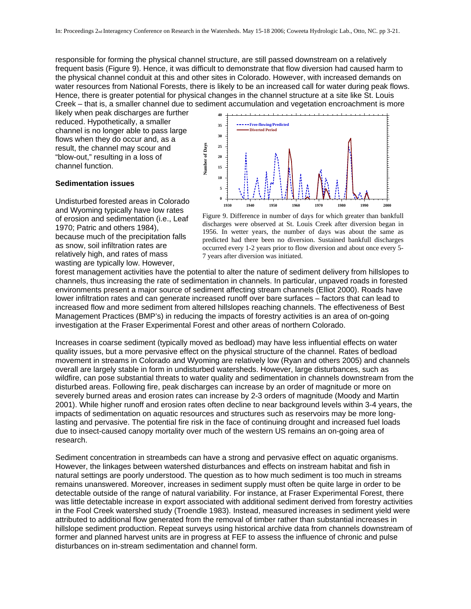responsible for forming the physical channel structure, are still passed downstream on a relatively frequent basis (Figure 9). Hence, it was difficult to demonstrate that flow diversion had caused harm to the physical channel conduit at this and other sites in Colorado. However, with increased demands on water resources from National Forests, there is likely to be an increased call for water during peak flows. Hence, there is greater potential for physical changes in the channel structure at a site like St. Louis Creek – that is, a smaller channel due to sediment accumulation and vegetation encroachment is more

likely when peak discharges are further reduced. Hypothetically, a smaller channel is no longer able to pass large flows when they do occur and, as a result, the channel may scour and "blow-out," resulting in a loss of channel function.

### **Sedimentation issues**

Undisturbed forested areas in Colorado and Wyoming typically have low rates of erosion and sedimentation (i.e., Leaf 1970; Patric and others 1984), because much of the precipitation falls as snow, soil infiltration rates are relatively high, and rates of mass wasting are typically low. However,



Figure 9. Difference in number of days for which greater than bankfull discharges were observed at St. Louis Creek after diversion began in 1956. In wetter years, the number of days was about the same as predicted had there been no diversion. Sustained bankfull discharges occurred every 1-2 years prior to flow diversion and about once every 5- 7 years after diversion was initiated.

forest management activities have the potential to alter the nature of sediment delivery from hillslopes to channels, thus increasing the rate of sedimentation in channels. In particular, unpaved roads in forested environments present a major source of sediment affecting stream channels (Elliot 2000). Roads have lower infiltration rates and can generate increased runoff over bare surfaces – factors that can lead to increased flow and more sediment from altered hillslopes reaching channels. The effectiveness of Best Management Practices (BMP's) in reducing the impacts of forestry activities is an area of on-going investigation at the Fraser Experimental Forest and other areas of n orthern Colorado.

Increases in coarse sediment (typically moved as bedload) may have less influential effects on water quality issues, but a more pervasive effect on the physical structure of the channel. Rates of bedload movement in streams in Colorado and Wyoming are relatively low (Ryan and others 2005) and channels overall are largely stable in form in undisturbed watersheds. However, large disturbances, such as wildfire, can pose substantial threats to water quality and sedimentation in channels downstream from the disturbed areas. Following fire, peak discharges can increase by an order of magnitude or more on severely burned areas and erosion rates can increase by 2-3 orders of magnitude (Moody and Martin 2001). While higher runoff and erosion rates often decline to near background levels within 3-4 years, the impacts of sedimentation on aquatic resources and structures such as reservoirs may be more longlasting and pervasive. The potential fire risk in the face of continuing drought and increased fuel loads due to insect-caused canopy mortality over much of the western US remains an on-going area of research.

Sediment concentration in streambeds can have a strong and pervasive effect on aquatic organisms. However, the linkages between watershed disturbances and effects on instream habitat and fish in natural settings are poorly understood. The question as to how much sediment is too much in streams remains unanswered. Moreover, increases in sediment supply must often be quite large in order to be detectable outside of the range of natural variability. For instance, at Fraser Experimental Forest, there was little detectable increase in export associated with additional sediment derived from forestry activities in the Fool Creek watershed study (Troendle 1983). Instead, measured increases in sediment yield were attributed to additional flow generated from the removal of timber rather than substantial increases in hillslope sediment production. Repeat surveys using historical archive data from channels downstream of former and planned harvest units are in progress at FEF to assess the influence of chronic and pulse disturbances on in-stream sedimentation and channel form.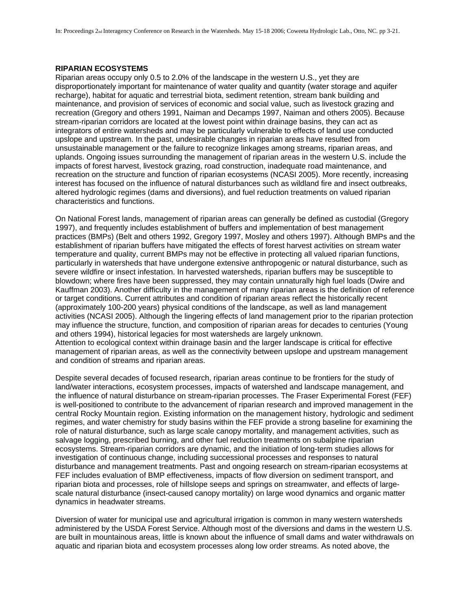#### **RIPARIAN ECOSYSTEMS**

Riparian areas occupy only 0.5 to 2.0% of the landscape in the western U.S., yet they are disproportionately important for maintenance of water quality and quantity (water storage and aquifer recharge), habitat for aquatic and terrestrial biota, sediment retention, stream bank building and maintenance, and provision of services of economic and social value, such as livestock grazing and recreation (Gregory and others 1991, Naiman and Decamps 1997, Naiman and others 2005). Because stream-riparian corridors are located at the lowest point within drainage basins, they can act as integrators of entire watersheds and may be particularly vulnerable to effects of land use conducted upslope and upstream. In the past, undesirable changes in riparian areas have resulted from unsustainable management or the failure to recognize linkages among streams, riparian areas, and uplands. Ongoing issues surrounding the management of riparian areas in the western U.S. include the impacts of forest harvest, livestock grazing, road construction, inadequate road maintenance, and recreation on the structure and function of riparian ecosystems (NCASI 2005). More recently, increasing interest has focused on the influence of natural disturbances such as wildland fire and insect outbreaks, altered hydrologic regimes (dams and diversions), and fuel reduction treatments on valued riparian characteristics and functions.

On National Forest lands, management of riparian areas can generally be defined as custodial (Gregory 1997), and frequently includes establishment of buffers and implementation of best management practices (BMPs) (Belt and others 1992, Gregory 1997, Mosley and others 1997). Although BMPs and the establishment of riparian buffers have mitigated the effects of forest harvest activities on stream water temperature and quality, current BMPs may not be effective in protecting all valued riparian functions, particularly in watersheds that have undergone extensive anthropogenic or natural disturbance, such as severe wildfire or insect infestation. In harvested watersheds, riparian buffers may be susceptible to blowdown; where fires have been suppressed, they may contain unnaturally high fuel loads (Dwire and Kauffman 2003). Another difficulty in the management of many riparian areas is the definition of reference or target conditions. Current attributes and condition of riparian areas reflect the historically recent (approximately 100-200 years) physical conditions of the landscape, as well as land management activities (NCASI 2005). Although the lingering effects of land management prior to the riparian protection may influence the structure, function, and composition of riparian areas for decades to centuries (Young and others 1994), historical legacies for most watersheds are largely unknown. Attention to ecological context within drainage basin and the larger landscape is critical for effective management of riparian areas, as well as the connectivity between upslope and upstream management and condition of streams and riparian areas.

Despite several decades of focused research, riparian areas continue to be frontiers for the study of land/water interactions, ecosystem processes, impacts of watershed and landscape management, and the influence of natural disturbance on stream-riparian processes. The Fraser Experimental Forest (FEF) is well-positioned to contribute to the advancement of riparian research and improved management in the central Rocky Mountain region. Existing information on the management history, hydrologic and sediment regimes, and water chemistry for study basins within the FEF provide a strong baseline for examining the role of natural disturbance, such as large scale canopy mortality, and management activities, such as salvage logging, prescribed burning, and other fuel reduction treatments on subalpine riparian ecosystems. Stream-riparian corridors are dynamic, and the initiation of long-term studies allows for investigation of continuous change, including successional processes and responses to natural disturbance and management treatments. Past and ongoing research on stream-riparian ecosystems at FEF includes evaluation of BMP effectiveness, impacts of flow diversion on sediment transport, and riparian biota and processes, role of hillslope seeps and springs on streamwater, and effects of largescale natural disturbance (insect-caused canopy mortality) on large wood dynamics and organic matter dynamics in headwater streams.

Diversion of water for municipal use and agricultural irrigation is common in many western watersheds administered by the USDA Forest Service. Although most of the diversions and dams in the western U.S. are built in mountainous areas, little is known about the influence of small dams and water withdrawals on aquatic and riparian biota and ecosystem processes along low order streams. As noted above, the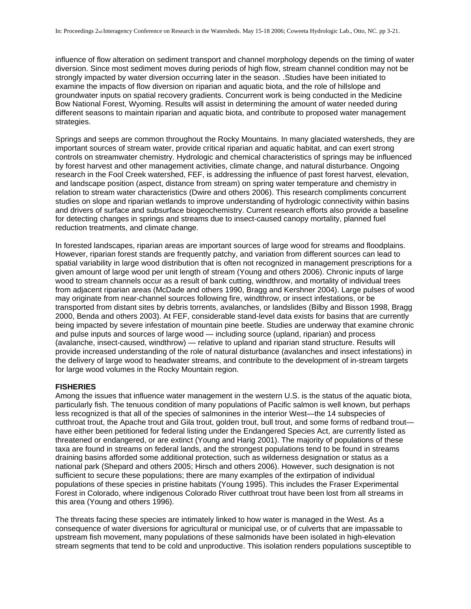influence of flow alteration on sediment transport and channel morphology depends on the timing of water diversion. Since most sediment moves during periods of high flow, stream channel condition may not be strongly impacted by water diversion occurring later in the season. .Studies have been initiated to examine the impacts of flow diversion on riparian and aquatic biota, and the role of hillslope and groundwater inputs on spatial recovery gradients. Concurrent work is being conducted in the Medicine Bow National Forest, Wyoming. Results will assist in determining the amount of water needed during different seasons to maintain riparian and aquatic biota, and contribute to proposed water management strategies.

Springs and seeps are common throughout the Rocky Mountains. In many glaciated watersheds, they are important sources of stream water, provide critical riparian and aquatic habitat, and can exert strong controls on streamwater chemistry. Hydrologic and chemical characteristics of springs may be influenced by forest harvest and other management activities, climate change, and natural disturbance. Ongoing research in the Fool Creek watershed, FEF, is addressing the influence of past forest harvest, elevation, and landscape position (aspect, distance from stream) on spring water temperature and chemistry in relation to stream water characteristics (Dwire and others 2006). This research compliments concurrent studies on slope and riparian wetlands to improve understanding of hydrologic connectivity within basins and drivers of surface and subsurface biogeochemistry. Current research efforts also provide a baseline for detecting changes in springs and streams due to insect-caused canopy mortality, planned fuel reduction treatments, and climate change.

In forested landscapes, riparian areas are important sources of large wood for streams and floodplains. However, riparian forest stands are frequently patchy, and variation from different sources can lead to spatial variability in large wood distribution that is often not recognized in management prescriptions for a given amount of large wood per unit length of stream (Young and others 2006). Chronic inputs of large wood to stream channels occur as a result of bank cutting, windthrow, and mortality of individual trees from adjacent riparian areas (McDade and others 1990, Bragg and Kershner 2004). Large pulses of wood may originate from near-channel sources following fire, windthrow, or insect infestations, or be transported from distant sites by debris torrents, avalanches, or landslides (Bilby and Bisson 1998, Bragg 2000, Benda and others 2003). At FEF, considerable stand-level data exists for basins that are currently being impacted by severe infestation of mountain pine beetle. Studies are underway that examine chronic and pulse inputs and sources of large wood — including source (upland, riparian) and process (avalanche, insect-caused, windthrow) — relative to upland and riparian stand structure. Results will provide increased understanding of the role of natural disturbance (avalanches and insect infestations) in the delivery of large wood to headwater streams, and contribute to the development of in-stream targets for large wood volumes in the Rocky Mountain region.

#### **FISHERIES**

Among the issues that influence water management in the western U.S. is the status of the aquatic biota, particularly fish. The tenuous condition of many populations of Pacific salmon is well known, but perhaps less recognized is that all of the species of salmonines in the interior West—the 14 subspecies of cutthroat trout, the Apache trout and Gila trout, golden trout, bull trout, and some forms of redband trout have either been petitioned for federal listing under the Endangered Species Act, are currently listed as threatened or endangered, or are extinct (Young and Harig 2001). The majority of populations of these taxa are found in streams on federal lands, and the strongest populations tend to be found in streams draining basins afforded some additional protection, such as wilderness designation or status as a national park (Shepard and others 2005; Hirsch and others 2006). However, such designation is not sufficient to secure these populations; there are many examples of the extirpation of individual populations of these species in pristine habitats (Young 1995). This includes the Fraser Experimental Forest in Colorado, where indigenous Colorado River cutthroat trout have been lost from all streams in this area (Young and others 1996).

The threats facing these species are intimately linked to how water is managed in the West. As a consequence of water diversions for agricultural or municipal use, or of culverts that are impassable to upstream fish movement, many populations of these salmonids have been isolated in high-elevation stream segments that tend to be cold and unproductive. This isolation renders populations susceptible to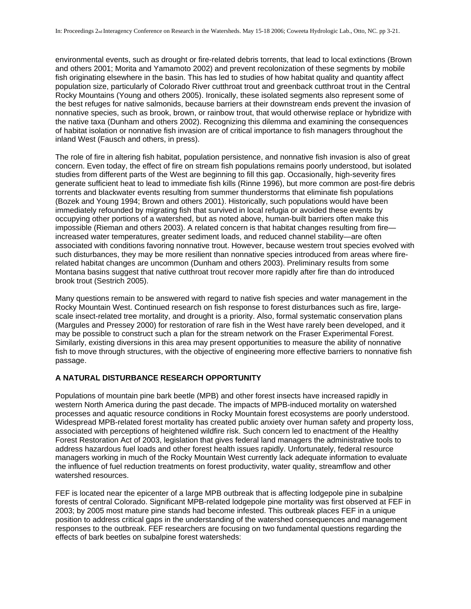environmental events, such as drought or fire-related debris torrents, that lead to local extinctions (Brown and others 2001; Morita and Yamamoto 2002) and prevent recolonization of these segments by mobile fish originating elsewhere in the basin. This has led to studies of how habitat quality and quantity affect population size, particularly of Colorado River cutthroat trout and greenback cutthroat trout in the Central Rocky Mountains (Young and others 2005). Ironically, these isolated segments also represent some of the best refuges for native salmonids, because barriers at their downstream ends prevent the invasion of nonnative species, such as brook, brown, or rainbow trout, that would otherwise replace or hybridize with the native taxa (Dunham and others 2002). Recognizing this dilemma and examining the consequences of habitat isolation or nonnative fish invasion are of critical importance to fish managers throughout the inland West (Fausch and others, in press).

The role of fire in altering fish habitat, population persistence, and nonnative fish invasion is also of great concern. Even today, the effect of fire on stream fish populations remains poorly understood, but isolated studies from different parts of the West are beginning to fill this gap. Occasionally, high-severity fires generate sufficient heat to lead to immediate fish kills (Rinne 1996), but more common are post-fire debris torrents and blackwater events resulting from summer thunderstorms that eliminate fish populations (Bozek and Young 1994; Brown and others 2001). Historically, such populations would have been immediately refounded by migrating fish that survived in local refugia or avoided these events by occupying other portions of a watershed, but as noted above, human-built barriers often make this impossible (Rieman and others 2003). A related concern is that habitat changes resulting from fire increased water temperatures, greater sediment loads, and reduced channel stability—are often associated with conditions favoring nonnative trout. However, because western trout species evolved with such disturbances, they may be more resilient than nonnative species introduced from areas where firerelated habitat changes are uncommon (Dunham and others 2003). Preliminary results from some Montana basins suggest that native cutthroat trout recover more rapidly after fire than do introduced brook trout (Sestrich 2005).

Many questions remain to be answered with regard to native fish species and water management in the Rocky Mountain West. Continued research on fish response to forest disturbances such as fire, largescale insect-related tree mortality, and drought is a priority. Also, formal systematic conservation plans (Margules and Pressey 2000) for restoration of rare fish in the West have rarely been developed, and it may be possible to construct such a plan for the stream network on the Fraser Experimental Forest. Similarly, existing diversions in this area may present opportunities to measure the ability of nonnative fish to move through structures, with the objective of engineering more effective barriers to nonnative fish passage.

# **A NATURAL DISTURBANCE RESEARCH OPPORTUNITY**

Populations of mountain pine bark beetle (MPB) and other forest insects have increased rapidly in western North America during the past decade. The impacts of MPB-induced mortality on watershed processes and aquatic resource conditions in Rocky Mountain forest ecosystems are poorly understood. Widespread MPB-related forest mortality has created public anxiety over human safety and property loss, associated with perceptions of heightened wildfire risk. Such concern led to enactment of the Healthy Forest Restoration Act of 2003, legislation that gives federal land managers the administrative tools to address hazardous fuel loads and other forest health issues rapidly. Unfortunately, federal resource managers working in much of the Rocky Mountain West currently lack adequate information to evaluate the influence of fuel reduction treatments on forest productivity, water quality, streamflow and other watershed resources.

FEF is located near the epicenter of a large MPB outbreak that is affecting lodgepole pine in subalpine forests of central Colorado. Significant MPB-related lodgepole pine mortality was first observed at FEF in 2003; by 2005 most mature pine stands had become infested. This outbreak places FEF in a unique position to address critical gaps in the understanding of the watershed consequences and management responses to the outbreak. FEF researchers are focusing on two fundamental questions regarding the effects of bark beetles on subalpine forest watersheds: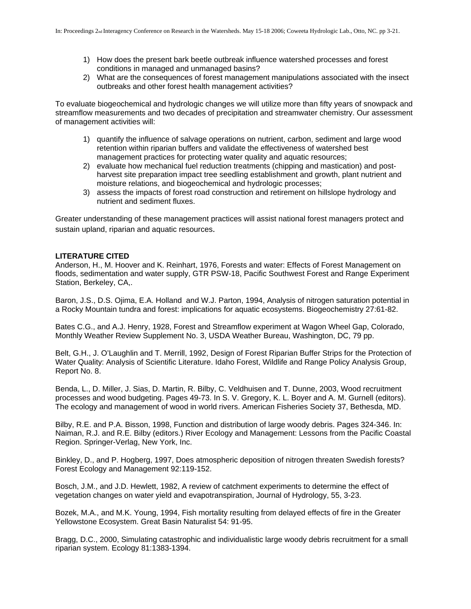- 1) How does the present bark beetle outbreak influence watershed processes and forest conditions in managed and unmanaged basins?
- 2) What are the consequences of forest management manipulations associated with the insect outbreaks and other forest health management activities?

To evaluate biogeochemical and hydrologic changes we will utilize more than fifty years of snowpack and streamflow measurements and two decades of precipitation and streamwater chemistry. Our assessment of management activities will:

- 1) quantify the influence of salvage operations on nutrient, carbon, sediment and large wood retention within riparian buffers and validate the effectiveness of watershed best management practices for protecting water quality and aquatic resources;
- 2) evaluate how mechanical fuel reduction treatments (chipping and mastication) and postharvest site preparation impact tree seedling establishment and growth, plant nutrient and moisture relations, and biogeochemical and hydrologic processes;
- 3) assess the impacts of forest road construction and retirement on hillslope hydrology and nutrient and sediment fluxes.

Greater understanding of these management practices will assist national forest managers protect and sustain upland, riparian and aquatic resources.

# **LITERATURE CITED**

Anderson, H., M. Hoover and K. Reinhart, 1976, Forests and water: Effects of Forest Management on floods, sedimentation and water supply, GTR PSW-18, Pacific Southwest Forest and Range Experiment Station, Berkeley, CA,.

Baron, J.S., D.S. Ojima, E.A. Holland and W.J. Parton, 1994, Analysis of nitrogen saturation potential in a Rocky Mountain tundra and forest: implications for aquatic ecosystems. Biogeochemistry 27:61-82.

Bates C.G., and A.J. Henry, 1928, Forest and Streamflow experiment at Wagon Wheel Gap, Colorado, Monthly Weather Review Supplement No. 3, USDA Weather Bureau, Washington, DC, 79 pp.

Belt, G.H., J. O'Laughlin and T. Merrill, 1992. Design of Forest Riparian Buffer Strips for the Protection of Water Quality: Analysis of Scientific Literature. Idaho Forest, Wildlife and Range Policy Analysis Group, Report No. 8.

Benda, L., D. Miller, J. Sias, D. Martin, R. Bilby, C. Veldhuisen and T. Dunne, 2003, Wood recruitment processes and wood budgeting. Pages 49-73. In S. V. Gregory, K. L. Boyer and A. M. Gurnell (editors). The ecology and management of wood in world rivers. American Fisheries Society 37, Bethesda, MD.

Bilby, R.E. and P.A. Bisson, 1998, Function and distribution of large woody debris. Pages 324-346. In: Naiman, R.J. and R.E. Bilby (editors.) River Ecology and Management: Lessons from the Pacific Coastal Region. Springer-Verlag, New York, Inc.

Binkley, D., and P. Hogberg, 1997, Does atmospheric deposition of nitrogen threaten Swedish forests? Forest Ecology and Management 92:119-152.

Bosch, J.M., and J.D. Hewlett, 1982, A review of catchment experiments to determine the effect of vegetation changes on water yield and evapotranspiration, Journal of Hydrology, 55, 3-23.

Bozek, M.A., and M.K. Young, 1994, Fish mortality resulting from delayed effects of fire in the Greater Yellowstone Ecosystem. Great Basin Naturalist 54: 91-95.

Bragg, D.C., 2000, Simulating catastrophic and individualistic large woody debris recruitment for a small riparian system. Ecology 81:1383-1394.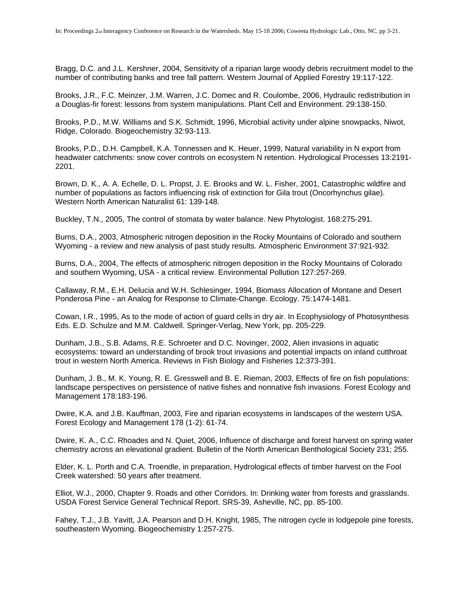Bragg, D.C. and J.L. Kershner, 2004, Sensitivity of a riparian large woody debris recruitment model to the number of contributing banks and tree fall pattern. Western Journal of Applied Forestry 19:117-122.

Brooks, J.R., F.C. Meinzer, J.M. Warren, J.C. Domec and R. Coulombe, 2006, Hydraulic redistribution in a Douglas-fir forest: lessons from system manipulations. Plant Cell and Environment. 29:138-150.

Brooks, P.D., M.W. Williams and S.K. Schmidt, 1996, Microbial activity under alpine snowpacks, Niwot, Ridge, Colorado. Biogeochemistry 32:93-113.

Brooks, P.D., D.H. Campbell, K.A. Tonnessen and K. Heuer, 1999, Natural variability in N export from headwater catchments: snow cover controls on ecosystem N retention. Hydrological Processes 13:2191- 2201.

Brown, D. K., A. A. Echelle, D. L. Propst, J. E. Brooks and W. L. Fisher, 2001, Catastrophic wildfire and number of populations as factors influencing risk of extinction for Gila trout (Oncorhynchus gilae). Western North American Naturalist 61: 139-148.

Buckley, T.N., 2005, The control of stomata by water balance. New Phytologist. 168:275-291.

Burns, D.A., 2003, Atmospheric nitrogen deposition in the Rocky Mountains of Colorado and southern Wyoming - a review and new analysis of past study results. Atmospheric Environment 37:921-932.

Burns, D.A., 2004, The effects of atmospheric nitrogen deposition in the Rocky Mountains of Colorado and southern Wyoming, USA - a critical review. Environmental Pollution 127:257-269.

Callaway, R.M., E.H. Delucia and W.H. Schlesinger, 1994, Biomass Allocation of Montane and Desert Ponderosa Pine - an Analog for Response to Climate-Change. Ecology. 75:1474-1481.

Cowan, I.R., 1995, As to the mode of action of guard cells in dry air. In Ecophysiology of Photosynthesis Eds. E.D. Schulze and M.M. Caldwell. Springer-Verlag, New York, pp. 205-229.

Dunham, J.B., S.B. Adams, R.E. Schroeter and D.C. Novinger, 2002, Alien invasions in aquatic ecosystems: toward an understanding of brook trout invasions and potential impacts on inland cutthroat trout in western North America. Reviews in Fish Biology and Fisheries 12:373-391.

Dunham, J. B., M. K. Young, R. E. Gresswell and B. E. Rieman, 2003, Effects of fire on fish populations: landscape perspectives on persistence of native fishes and nonnative fish invasions. Forest Ecology and Management 178:183-196.

Dwire, K.A. and J.B. Kauffman, 2003, Fire and riparian ecosystems in landscapes of the western USA. Forest Ecology and Management 178 (1-2): 61-74.

Dwire, K. A., C.C. Rhoades and N. Quiet, 2006, Influence of discharge and forest harvest on spring water chemistry across an elevational gradient. Bulletin of the North American Benthological Society 231; 255.

Elder, K. L. Porth and C.A. Troendle, in preparation, Hydrological effects of timber harvest on the Fool Creek watershed: 50 years after treatment.

Elliot, W.J., 2000, Chapter 9. Roads and other Corridors. In: Drinking water from forests and grasslands. USDA Forest Service General Technical Report. SRS-39, Asheville, NC, pp. 85-100.

Fahey, T.J., J.B. Yavitt, J.A. Pearson and D.H. Knight, 1985, The nitrogen cycle in lodgepole pine forests, southeastern Wyoming. Biogeochemistry 1:257-275.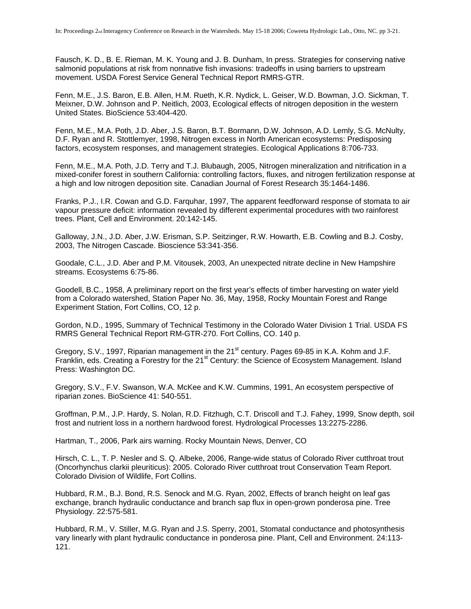Fausch, K. D., B. E. Rieman, M. K. Young and J. B. Dunham, In press. Strategies for conserving native salmonid populations at risk from nonnative fish invasions: tradeoffs in using barriers to upstream movement. USDA Forest Service General Technical Report RMRS-GTR.

Fenn, M.E., J.S. Baron, E.B. Allen, H.M. Rueth, K.R. Nydick, L. Geiser, W.D. Bowman, J.O. Sickman, T. Meixner, D.W. Johnson and P. Neitlich, 2003, Ecological effects of nitrogen deposition in the western United States. BioScience 53:404-420.

Fenn, M.E., M.A. Poth, J.D. Aber, J.S. Baron, B.T. Bormann, D.W. Johnson, A.D. Lemly, S.G. McNulty, D.F. Ryan and R. Stottlemyer, 1998, Nitrogen excess in North American ecosystems: Predisposing factors, ecosystem responses, and management strategies. Ecological Applications 8:706-733.

Fenn, M.E., M.A. Poth, J.D. Terry and T.J. Blubaugh, 2005, Nitrogen mineralization and nitrification in a mixed-conifer forest in southern California: controlling factors, fluxes, and nitrogen fertilization response at a high and low nitrogen deposition site. Canadian Journal of Forest Research 35:1464-1486.

Franks, P.J., I.R. Cowan and G.D. Farquhar, 1997, The apparent feedforward response of stomata to air vapour pressure deficit: information revealed by different experimental procedures with two rainforest trees. Plant, Cell and Environment. 20:142-145.

Galloway, J.N., J.D. Aber, J.W. Erisman, S.P. Seitzinger, R.W. Howarth, E.B. Cowling and B.J. Cosby, 2003, The Nitrogen Cascade. Bioscience 53:341-356.

Goodale, C.L., J.D. Aber and P.M. Vitousek, 2003, An unexpected nitrate decline in New Hampshire streams. Ecosystems 6:75-86.

Goodell, B.C., 1958, A preliminary report on the first year's effects of timber harvesting on water yield from a Colorado watershed, Station Paper No. 36, May, 1958, Rocky Mountain Forest and Range Experiment Station, Fort Collins, CO, 12 p.

Gordon, N.D., 1995, Summary of Technical Testimony in the Colorado Water Division 1 Trial. USDA FS RMRS General Technical Report RM-GTR-270. Fort Collins, CO. 140 p.

Gregory, S.V., 1997, Riparian management in the 21<sup>st</sup> century. Pages 69-85 in K.A. Kohm and J.F. Franklin, eds. Creating a Forestry for the 21<sup>st</sup> Century: the Science of Ecosystem Management. Island Press: Washington DC.

Gregory, S.V., F.V. Swanson, W.A. McKee and K.W. Cummins, 1991, An ecosystem perspective of riparian zones. BioScience 41: 540-551.

Groffman, P.M., J.P. Hardy, S. Nolan, R.D. Fitzhugh, C.T. Driscoll and T.J. Fahey, 1999, Snow depth, soil frost and nutrient loss in a northern hardwood forest. Hydrological Processes 13:2275-2286.

Hartman, T., 2006, Park airs warning. Rocky Mountain News, Denver, CO

Hirsch, C. L., T. P. Nesler and S. Q. Albeke, 2006, Range-wide status of Colorado River cutthroat trout (Oncorhynchus clarkii pleuriticus): 2005. Colorado River cutthroat trout Conservation Team Report. Colorado Division of Wildlife, Fort Collins.

Hubbard, R.M., B.J. Bond, R.S. Senock and M.G. Ryan, 2002, Effects of branch height on leaf gas exchange, branch hydraulic conductance and branch sap flux in open-grown ponderosa pine. Tree Physiology. 22:575-581.

Hubbard, R.M., V. Stiller, M.G. Ryan and J.S. Sperry, 2001, Stomatal conductance and photosynthesis vary linearly with plant hydraulic conductance in ponderosa pine. Plant, Cell and Environment. 24:113- 121.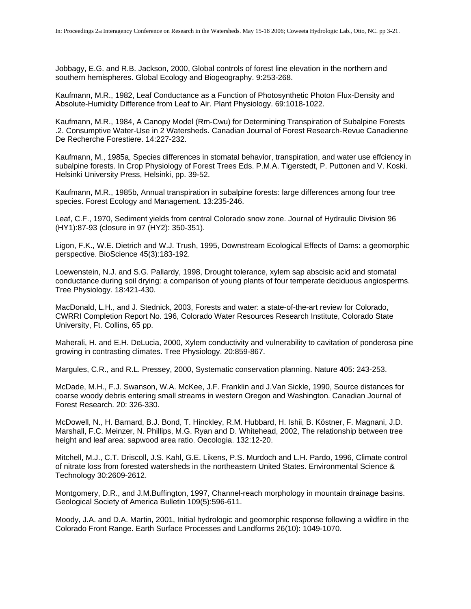Jobbagy, E.G. and R.B. Jackson, 2000, Global controls of forest line elevation in the northern and southern hemispheres. Global Ecology and Biogeography. 9:253-268.

Kaufmann, M.R., 1982, Leaf Conductance as a Function of Photosynthetic Photon Flux-Density and Absolute-Humidity Difference from Leaf to Air. Plant Physiology. 69:1018-1022.

Kaufmann, M.R., 1984, A Canopy Model (Rm-Cwu) for Determining Transpiration of Subalpine Forests .2. Consumptive Water-Use in 2 Watersheds. Canadian Journal of Forest Research-Revue Canadienne De Recherche Forestiere. 14:227-232.

Kaufmann, M., 1985a, Species differences in stomatal behavior, transpiration, and water use effciency in subalpine forests. In Crop Physiology of Forest Trees Eds. P.M.A. Tigerstedt, P. Puttonen and V. Koski. Helsinki University Press, Helsinki, pp. 39-52.

Kaufmann, M.R., 1985b, Annual transpiration in subalpine forests: large differences among four tree species. Forest Ecology and Management. 13:235-246.

Leaf, C.F., 1970, Sediment yields from central Colorado snow zone. Journal of Hydraulic Division 96 (HY1):87-93 (closure in 97 (HY2): 350-351).

Ligon, F.K., W.E. Dietrich and W.J. Trush, 1995, Downstream Ecological Effects of Dams: a geomorphic perspective. BioScience 45(3):183-192.

Loewenstein, N.J. and S.G. Pallardy, 1998, Drought tolerance, xylem sap abscisic acid and stomatal conductance during soil drying: a comparison of young plants of four temperate deciduous angiosperms. Tree Physiology. 18:421-430.

MacDonald, L.H., and J. Stednick, 2003, Forests and water: a state-of-the-art review for Colorado, CWRRI Completion Report No. 196, Colorado Water Resources Research Institute, Colorado State University, Ft. Collins, 65 pp.

Maherali, H. and E.H. DeLucia, 2000, Xylem conductivity and vulnerability to cavitation of ponderosa pine growing in contrasting climates. Tree Physiology. 20:859-867.

Margules, C.R., and R.L. Pressey, 2000, Systematic conservation planning. Nature 405: 243-253.

McDade, M.H., F.J. Swanson, W.A. McKee, J.F. Franklin and J.Van Sickle, 1990, Source distances for coarse woody debris entering small streams in western Oregon and Washington. Canadian Journal of Forest Research. 20: 326-330.

McDowell, N., H. Barnard, B.J. Bond, T. Hinckley, R.M. Hubbard, H. Ishii, B. Köstner, F. Magnani, J.D. Marshall, F.C. Meinzer, N. Phillips, M.G. Ryan and D. Whitehead, 2002, The relationship between tree height and leaf area: sapwood area ratio. Oecologia. 132:12-20.

Mitchell, M.J., C.T. Driscoll, J.S. Kahl, G.E. Likens, P.S. Murdoch and L.H. Pardo, 1996, Climate control of nitrate loss from forested watersheds in the northeastern United States. Environmental Science & Technology 30:2609-2612.

Montgomery, D.R., and J.M.Buffington, 1997, Channel-reach morphology in mountain drainage basins. Geological Society of America Bulletin 109(5):596-611.

Moody, J.A. and D.A. Martin, 2001, Initial hydrologic and geomorphic response following a wildfire in the Colorado Front Range. Earth Surface Processes and Landforms 26(10): 1049-1070.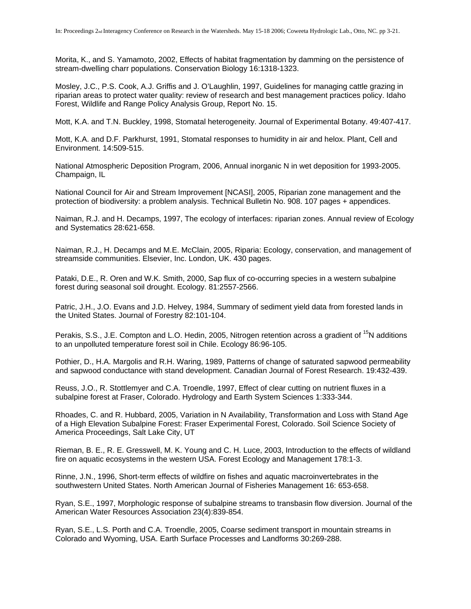Morita, K., and S. Yamamoto, 2002, Effects of habitat fragmentation by damming on the persistence of stream-dwelling charr populations. Conservation Biology 16:1318-1323.

Mosley, J.C., P.S. Cook, A.J. Griffis and J. O'Laughlin, 1997, Guidelines for managing cattle grazing in riparian areas to protect water quality: review of research and best management practices policy. Idaho Forest, Wildlife and Range Policy Analysis Group, Report No. 15.

Mott, K.A. and T.N. Buckley, 1998, Stomatal heterogeneity. Journal of Experimental Botany. 49:407-417.

Mott, K.A. and D.F. Parkhurst, 1991, Stomatal responses to humidity in air and helox. Plant, Cell and Environment. 14:509-515.

National Atmospheric Deposition Program, 2006, Annual inorganic N in wet deposition for 1993-2005. Champaign, IL

National Council for Air and Stream Improvement [NCASI], 2005, Riparian zone management and the protection of biodiversity: a problem analysis. Technical Bulletin No. 908. 107 pages + appendices.

Naiman, R.J. and H. Decamps, 1997, The ecology of interfaces: riparian zones. Annual review of Ecology and Systematics 28:621-658.

Naiman, R.J., H. Decamps and M.E. McClain, 2005, Riparia: Ecology, conservation, and management of streamside communities. Elsevier, Inc. London, UK. 430 pages.

Pataki, D.E., R. Oren and W.K. Smith, 2000, Sap flux of co-occurring species in a western subalpine forest during seasonal soil drought. Ecology. 81:2557-2566.

Patric, J.H., J.O. Evans and J.D. Helvey, 1984, Summary of sediment yield data from forested lands in the United States. Journal of Forestry 82:101-104.

Perakis, S.S., J.E. Compton and L.O. Hedin, 2005. Nitrogen retention across a gradient of <sup>15</sup>N additions to an unpolluted temperature forest soil in Chile. Ecology 86:96-105.

Pothier, D., H.A. Margolis and R.H. Waring, 1989, Patterns of change of saturated sapwood permeability and sapwood conductance with stand development. Canadian Journal of Forest Research. 19:432-439.

Reuss, J.O., R. Stottlemyer and C.A. Troendle, 1997, Effect of clear cutting on nutrient fluxes in a subalpine forest at Fraser, Colorado. Hydrology and Earth System Sciences 1:333-344.

Rhoades, C. and R. Hubbard, 2005, Variation in N Availability, Transformation and Loss with Stand Age of a High Elevation Subalpine Forest: Fraser Experimental Forest, Colorado. Soil Science Society of America Proceedings, Salt Lake City, UT

Rieman, B. E., R. E. Gresswell, M. K. Young and C. H. Luce, 2003, Introduction to the effects of wildland fire on aquatic ecosystems in the western USA. Forest Ecology and Management 178:1-3.

Rinne, J.N., 1996, Short-term effects of wildfire on fishes and aquatic macroinvertebrates in the southwestern United States. North American Journal of Fisheries Management 16: 653-658.

Ryan, S.E., 1997, Morphologic response of subalpine streams to transbasin flow diversion. Journal of the American Water Resources Association 23(4):839-854.

Ryan, S.E., L.S. Porth and C.A. Troendle, 2005, Coarse sediment transport in mountain streams in Colorado and Wyoming, USA. Earth Surface Processes and Landforms 30:269-288.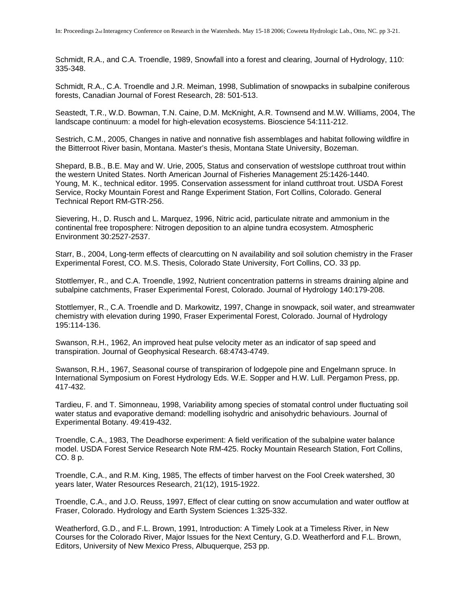Schmidt, R.A., and C.A. Troendle, 1989, Snowfall into a forest and clearing, Journal of Hydrology, 110: 335-348.

Schmidt, R.A., C.A. Troendle and J.R. Meiman, 1998, Sublimation of snowpacks in subalpine coniferous forests, Canadian Journal of Forest Research, 28: 501-513.

Seastedt, T.R., W.D. Bowman, T.N. Caine, D.M. McKnight, A.R. Townsend and M.W. Williams, 2004, The landscape continuum: a model for high-elevation ecosystems. Bioscience 54:111-212.

Sestrich, C.M., 2005, Changes in native and nonnative fish assemblages and habitat following wildfire in the Bitterroot River basin, Montana. Master's thesis, Montana State University, Bozeman.

Shepard, B.B., B.E. May and W. Urie, 2005, Status and conservation of westslope cutthroat trout within the western United States. North American Journal of Fisheries Management 25:1426-1440. Young, M. K., technical editor. 1995. Conservation assessment for inland cutthroat trout. USDA Forest Service, Rocky Mountain Forest and Range Experiment Station, Fort Collins, Colorado. General Technical Report RM-GTR-256.

Sievering, H., D. Rusch and L. Marquez, 1996, Nitric acid, particulate nitrate and ammonium in the continental free troposphere: Nitrogen deposition to an alpine tundra ecosystem. Atmospheric Environment 30:2527-2537.

Starr, B., 2004, Long-term effects of clearcutting on N availability and soil solution chemistry in the Fraser Experimental Forest, CO. M.S. Thesis, Colorado State University, Fort Collins, CO. 33 pp.

Stottlemyer, R., and C.A. Troendle, 1992, Nutrient concentration patterns in streams draining alpine and subalpine catchments, Fraser Experimental Forest, Colorado. Journal of Hydrology 140:179-208.

Stottlemyer, R., C.A. Troendle and D. Markowitz, 1997, Change in snowpack, soil water, and streamwater chemistry with elevation during 1990, Fraser Experimental Forest, Colorado. Journal of Hydrology 195:114-136.

Swanson, R.H., 1962, An improved heat pulse velocity meter as an indicator of sap speed and transpiration. Journal of Geophysical Research. 68:4743-4749.

Swanson, R.H., 1967, Seasonal course of transpirarion of lodgepole pine and Engelmann spruce. In International Symposium on Forest Hydrology Eds. W.E. Sopper and H.W. Lull. Pergamon Press, pp. 417-432.

Tardieu, F. and T. Simonneau, 1998, Variability among species of stomatal control under fluctuating soil water status and evaporative demand: modelling isohydric and anisohydric behaviours. Journal of Experimental Botany. 49:419-432.

Troendle, C.A., 1983, The Deadhorse experiment: A field verification of the subalpine water balance model. USDA Forest Service Research Note RM-425. Rocky Mountain Research Station, Fort Collins, CO. 8 p.

Troendle, C.A., and R.M. King, 1985, The effects of timber harvest on the Fool Creek watershed, 30 years later, Water Resources Research, 21(12), 1915-1922.

Troendle, C.A., and J.O. Reuss, 1997, Effect of clear cutting on snow accumulation and water outflow at Fraser, Colorado. Hydrology and Earth System Sciences 1:325-332.

Weatherford, G.D., and F.L. Brown, 1991, Introduction: A Timely Look at a Timeless River, in New Courses for the Colorado River, Major Issues for the Next Century, G.D. Weatherford and F.L. Brown, Editors, University of New Mexico Press, Albuquerque, 253 pp.